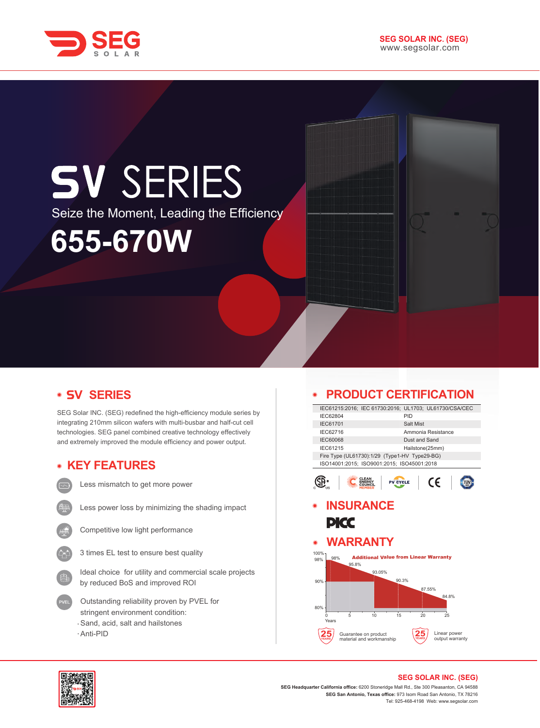

# **SV SERIES** Seize the Moment, Leading the Efficiency**655-670W**

## **V SERIES**

SEG Solar INC. (SEG) redefined the high-efficiency module series by integrating 210mm silicon wafers with multi-busbar and half-cut cell technologies. SEG panel combined creative technology effectively and extremely improved the module efficiency and power output.

#### **KEY FEATURES**



Less mismatch to get more power



Less power loss by minimizing the shading impact



Competitive low light performance



Ideal choice for utility and commercial scale projects by reduced BoS and improved ROI

- Outstanding reliability proven by PVEL for stringent environment condition: Sand, acid, salt and hailstones
- Anti-PID

### **PRODUCT CERTIFICATION**

|                     | IEC61215:2016; IEC 61730:2016; UL1703; UL61730/CSA/CEC          |                 |                    |  |
|---------------------|-----------------------------------------------------------------|-----------------|--------------------|--|
| IEC62804            |                                                                 | PID             |                    |  |
| <b>IEC61701</b>     |                                                                 | Salt Mist       |                    |  |
| IEC62716            |                                                                 |                 | Ammonia Resistance |  |
| <b>IEC60068</b>     |                                                                 | Dust and Sand   |                    |  |
| IEC61215            |                                                                 | Hailstone(25mm) |                    |  |
|                     | Fire Type (UL61730):1/29 (Type1-HV Type29-BG)                   |                 |                    |  |
|                     | ISO14001:2015; ISO9001:2015; ISO45001:2018                      |                 |                    |  |
|                     |                                                                 |                 |                    |  |
| PKC                 | <b>INSURANCE</b>                                                |                 |                    |  |
| $\bullet$           | <b>WARRANTY</b>                                                 |                 |                    |  |
| 100%-<br>98%<br>98% | <b>Additional Value from Linear Warranty</b><br>95.8%<br>93.05% |                 |                    |  |



#### **SEG SOLAR INC. (SEG)**

**25 YEARS**

Linear power output warranty

**SEG Headquarter California office:** 6200 Stoneridge Mall Rd., Ste 300 Pleasanton, CA 94588 **SEG San Antonio, Texas office:** 973 Isom Road San Antonio, TX 78216 Tel: 925-468-4198 Web: www.segsolar.com

0 5 10 15 20 25

Guarantee on product material and workmanship

**25 YEARS**

Years